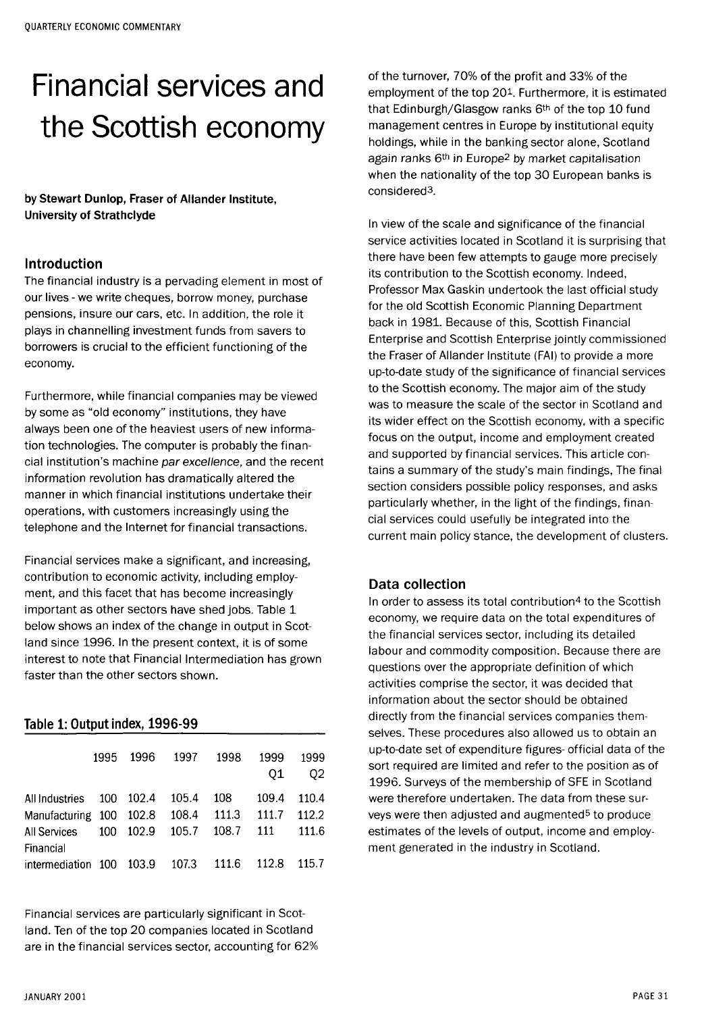# Financial services and the Scottish economy

**by Stewart Dunlop, Fraser of Allander Institute, University of Strathclyde** 

#### Introduction

The financial industry is a pervading element in most of our lives - we write cheques, borrow money, purchase pensions, insure our cars, etc. In addition, the role it plays in channelling investment funds from savers to borrowers is crucial to the efficient functioning of the economy.

Furthermore, while financial companies may be viewed by some as "old economy" institutions, they have always been one of the heaviest users of new information technologies. The computer is probably the financial institution's machine par excellence, and the recent information revolution has dramatically altered the manner in which financial institutions undertake their operations, with customers increasingly using the telephone and the Internet for financial transactions.

Financial services make a significant, and increasing, contribution to economic activity, including employment, and this facet that has become increasingly important as other sectors have shed jobs. Table 1 below shows an index of the change in output in Scotland since 1996. In the present context, it is of some interest to note that Financial Intermediation has grown faster than the other sectors shown.

## Table 1: Output index, 1996-99

|                                                                                  | 1995 | 1996      | 1997                    | 1998                  | 1999<br>01            | 1999<br>02              |
|----------------------------------------------------------------------------------|------|-----------|-------------------------|-----------------------|-----------------------|-------------------------|
| All Industries 100 102.4<br>Manufacturing 100 102.8<br>All Services<br>Financial |      | 100 102.9 | 105.4<br>108.4<br>105.7 | 108<br>111.3<br>108.7 | 109.4<br>111.7<br>111 | 110.4<br>112.2<br>111.6 |
| intermediation 100 103.9                                                         |      |           | 107.3                   | -- 111.6              | 112.8                 | 115.7                   |

Financial services are particularly significant in Scotland. Ten of the top 20 companies located in Scotland are in the financial services sector, accounting for 62%

of the turnover, 70% of the profit and 33% of the employment of the top 201. Furthermore, it is estimated that Edinburgh/Glasgow ranks 6th of the top 10 fund management centres in Europe by institutional equity holdings, while in the banking sector alone, Scotland again ranks 6<sup>th</sup> in Europe<sup>2</sup> by market capitalisation when the nationality of the top 30 European banks is considered<sup>3</sup> .

In view of the scale and significance of the financial service activities located in Scotland it is surprising that there have been few attempts to gauge more precisely its contribution to the Scottish economy. Indeed, Professor Max Gaskin undertook the last official study for the old Scottish Economic Planning Department back in 1981. Because of this, Scottish Financial Enterprise and Scottish Enterprise jointly commissioned the Fraser of Allander Institute (FAI) to provide a more up-to-date study of the significance of financial services to the Scottish economy. The major aim of the study was to measure the scale of the sector in Scotland and its wider effect on the Scottish economy, with a specific focus on the output, income and employment created and supported by financial services. This article contains a summary of the study's main findings, The final section considers possible policy responses, and asks particularly whether, in the light of the findings, financial services could usefully be integrated into the current main policy stance, the development of clusters.

## Data collection

In order to assess its total contribution<sup>4</sup> to the Scottish economy, we require data on the total expenditures of the financial services sector, including its detailed labour and commodity composition. Because there are questions over the appropriate definition of which activities comprise the sector, it was decided that information about the sector should be obtained directly from the financial services companies themselves. These procedures also allowed us to obtain an up-to-date set of expenditure figures- official data of the sort required are limited and refer to the position as of 1996. Surveys of the membership of SFE in Scotland were therefore undertaken. The data from these surveys were then adjusted and augmented<sup>5</sup> to produce estimates of the levels of output, income and employment generated in the industry in Scotland.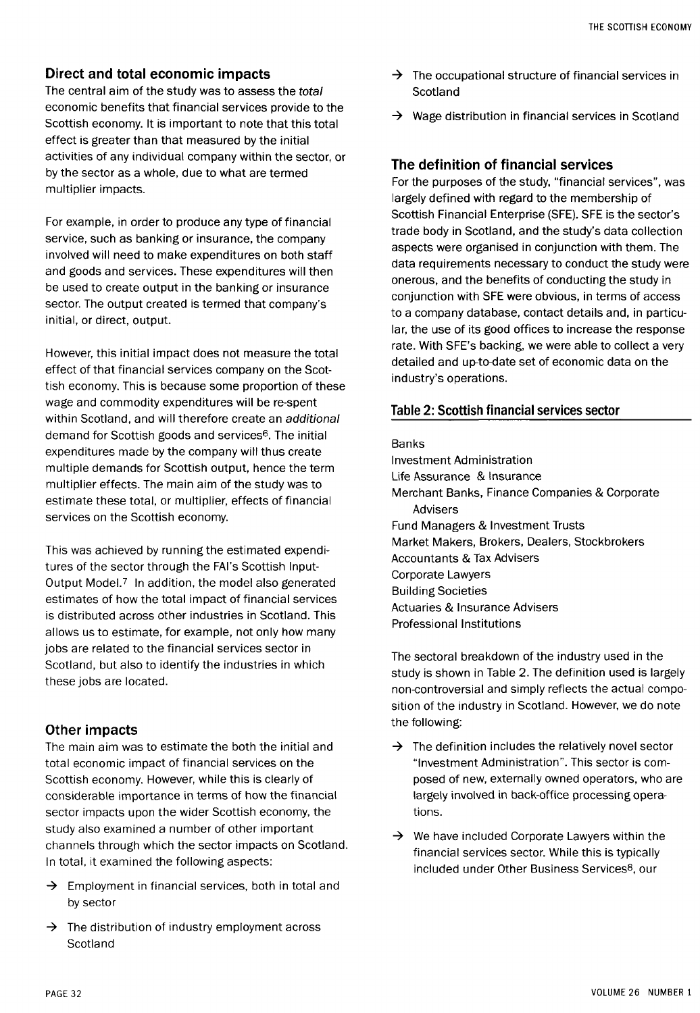#### Direct and total economic impacts

The central aim of the study was to assess the total economic benefits that financial services provide to the Scottish economy. It is important to note that this total effect is greater than that measured by the initial activities of any individual company within the sector, or by the sector as a whole, due to what are termed multiplier impacts.

For example, in order to produce any type of financial service, such as banking or insurance, the company involved will need to make expenditures on both staff and goods and services. These expenditures will then be used to create output in the banking or insurance sector. The output created is termed that company's initial, or direct, output.

However, this initial impact does not measure the total effect of that financial services company on the Scottish economy. This is because some proportion of these wage and commodity expenditures will be re-spent within Scotland, and will therefore create an additional demand for Scottish goods and services<sup>6</sup>. The initial expenditures made by the company will thus create multiple demands for Scottish output, hence the term multiplier effects. The main aim of the study was to estimate these total, or multiplier, effects of financial services on the Scottish economy.

This was achieved by running the estimated expenditures of the sector through the FAI's Scottish Input-Output Model.<sup>7</sup> In addition, the model also generated estimates of how the total impact of financial services is distributed across other industries in Scotland. This allows us to estimate, for example, not only how many jobs are related to the financial services sector in Scotland, but also to identify the industries in which these jobs are located.

#### Other impacts

The main aim was to estimate the both the initial and total economic impact of financial services on the Scottish economy. However, while this is clearly of considerable importance in terms of how the financial sector impacts upon the wider Scottish economy, the study also examined a number of other important channels through which the sector impacts on Scotland. In total, it examined the following aspects:

- $\rightarrow$  Employment in financial services, both in total and by sector
- $\rightarrow$  The distribution of industry employment across Scotland
- $\rightarrow$  The occupational structure of financial services in Scotland
- $\rightarrow$  Wage distribution in financial services in Scotland

#### The definition of financial services

For the purposes of the study, "financial services", was largely defined with regard to the membership of Scottish Financial Enterprise (SFE). SFE is the sector's trade body in Scotland, and the study's data collection aspects were organised in conjunction with them. The data requirements necessary to conduct the study were onerous, and the benefits of conducting the study in conjunction with SFE were obvious, in terms of access to a company database, contact details and, in particular, the use of its good offices to increase the response rate. With SFE's backing, we were able to collect a very detailed and up-to-date set of economic data on the industry's operations.

#### Table 2: Scottish financial services sector

#### Banks

Investment Administration Life Assurance & Insurance Merchant Banks, Finance Companies & Corporate Advisers Fund Managers & Investment Trusts Market Makers, Brokers, Dealers, Stockbrokers Accountants & Tax Advisers Corporate Lawyers Building Societies Actuaries & Insurance Advisers Professional Institutions

The sectoral breakdown of the industry used in the study is shown in Table 2. The definition used is largely non-controversial and simply reflects the actual composition of the industry in Scotland. However, we do note the following:

- $\rightarrow$  The definition includes the relatively novel sector "Investment Administration". This sector is composed of new, externally owned operators, who are largely involved in back-office processing operations.
- $\rightarrow$  We have included Corporate Lawyers within the financial services sector. While this is typically included under Other Business Services<sup>8</sup> , our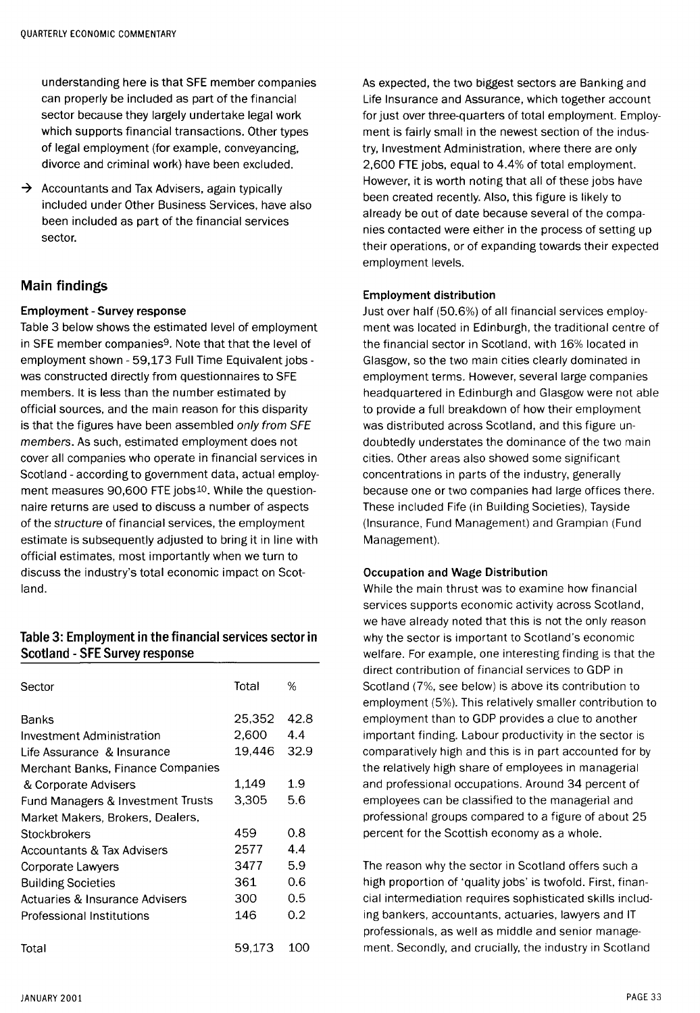understanding here is that SFE member companies can properly be included as part of the financial sector because they largely undertake legal work which supports financial transactions. Other types of legal employment (for example, conveyancing, divorce and criminal work) have been excluded.

 $\rightarrow$  Accountants and Tax Advisers, again typically included under Other Business Services, have also been included as part of the financial services sector.

## Main findings

#### **Employment - Survey response**

Table 3 below shows the estimated level of employment in SFE member companies<sup>9</sup>. Note that that the level of employment shown - 59,173 Full Time Equivalent jobs was constructed directly from questionnaires to SFE members. It is less than the number estimated by official sources, and the main reason for this disparity is that the figures have been assembled only from SFE members. As such, estimated employment does not cover all companies who operate in financial services in Scotland - according to government data, actual employment measures 90,600 FTE jobs<sup>10</sup>. While the questionnaire returns are used to discuss a number of aspects of the structure of financial services, the employment estimate is subsequently adjusted to bring it in line with official estimates, most importantly when we turn to discuss the industry's total economic impact on Scotland.

#### Table 3: Employment in the financial services sector in Scotland - SFE Survey response

| Sector                                | Total  | %    |
|---------------------------------------|--------|------|
| Banks                                 | 25,352 | 42.8 |
| Investment Administration             | 2.600  | 4.4  |
| Life Assurance & Insurance            | 19,446 | 32.9 |
| Merchant Banks, Finance Companies     |        |      |
| & Corporate Advisers                  | 1,149  | 1.9  |
| Fund Managers & Investment Trusts     | 3,305  | 5.6  |
| Market Makers, Brokers, Dealers,      |        |      |
| Stockbrokers                          | 459    | 0.8  |
| <b>Accountants &amp; Tax Advisers</b> | 2577   | 4.4  |
| Corporate Lawyers                     | 3477   | 5.9  |
| <b>Building Societies</b>             | 361    | 0.6  |
| Actuaries & Insurance Advisers        | 300    | 0.5  |
| Professional Institutions             | 146    | 0.2  |
| Total                                 | 59.173 | 100  |

As expected, the two biggest sectors are Banking and Life Insurance and Assurance, which together account for just over three-quarters of total employment. Employment is fairly small in the newest section of the industry, Investment Administration, where there are only 2,600 FTE jobs, equal to 4.4% of total employment. However, it is worth noting that all of these jobs have been created recently. Also, this figure is likely to already be out of date because several of the companies contacted were either in the process of setting up their operations, or of expanding towards their expected employment levels.

#### **Employment distribution**

Just over half (50.6%) of all financial services employment was located in Edinburgh, the traditional centre of the financial sector in Scotland, with 16% located in Glasgow, so the two main cities clearly dominated in employment terms. However, several large companies headquartered in Edinburgh and Glasgow were not able to provide a full breakdown of how their employment was distributed across Scotland, and this figure undoubtedly understates the dominance of the two main cities. Other areas also showed some significant concentrations in parts of the industry, generally because one or two companies had large offices there. These included Fife (in Building Societies), Tayside (Insurance, Fund Management) and Grampian (Fund Management).

#### **Occupation and Wage Distribution**

While the main thrust was to examine how financial services supports economic activity across Scotland, we have already noted that this is not the only reason why the sector is important to Scotland's economic welfare. For example, one interesting finding is that the direct contribution of financial services to GDP in Scotland (7%, see below) is above its contribution to employment (5%). This relatively smaller contribution to employment than to GDP provides a clue to another important finding. Labour productivity in the sector is comparatively high and this is in part accounted for by the relatively high share of employees in managerial and professional occupations. Around 34 percent of employees can be classified to the managerial and professional groups compared to a figure of about 25 percent for the Scottish economy as a whole.

The reason why the sector in Scotland offers such a high proportion of 'quality jobs' is twofold. First, financial intermediation requires sophisticated skills including bankers, accountants, actuaries, lawyers and IT professionals, as well as middle and senior management. Secondly, and crucially, the industry in Scotland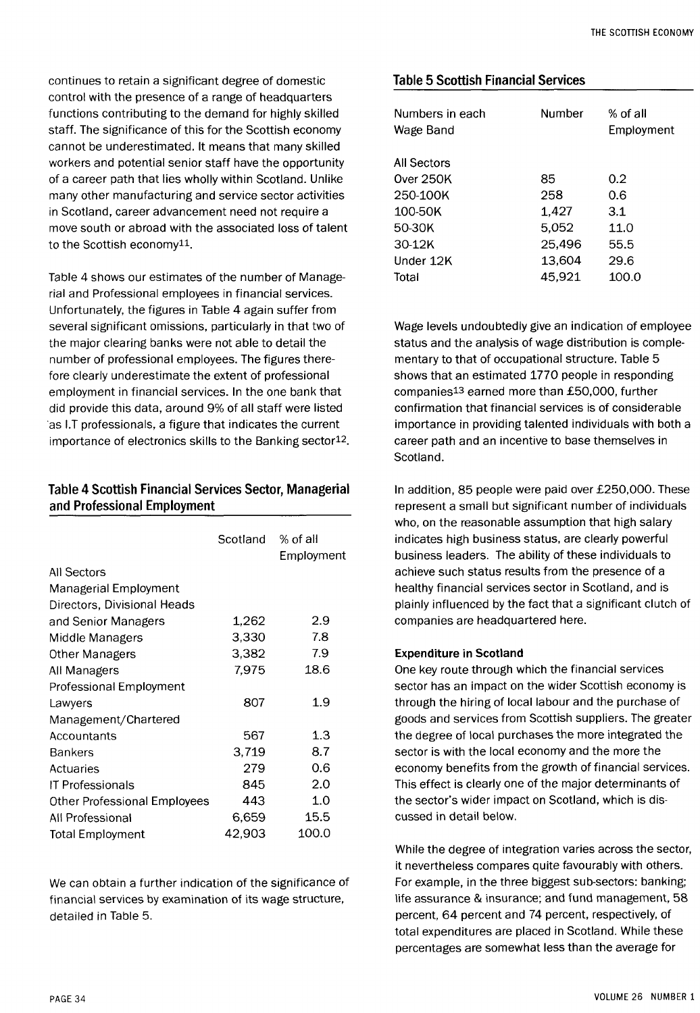continues to retain a significant degree of domestic control with the presence of a range of headquarters functions contributing to the demand for highly skilled staff. The significance of this for the Scottish economy cannot be underestimated. It means that many skilled workers and potential senior staff have the opportunity of a career path that lies wholly within Scotland. Unlike many other manufacturing and service sector activities in Scotland, career advancement need not require a move south or abroad with the associated loss of talent to the Scottish economy<sup>11</sup>.

Table 4 shows our estimates of the number of Managerial and Professional employees in financial services. Unfortunately, the figures in Table 4 again suffer from several significant omissions, particularly in that two of the major clearing banks were not able to detail the number of professional employees. The figures therefore clearly underestimate the extent of professional employment in financial services. In the one bank that did provide this data, around 9% of all staff were listed as I.T professionals, a figure that indicates the current importance of electronics skills to the Banking sector<sup>12</sup>.

## Table 4 Scottish Financial Services Sector, Managerial and Professional Employment

|                              | Scotland % of all | Employment |
|------------------------------|-------------------|------------|
| All Sectors                  |                   |            |
| Managerial Employment        |                   |            |
| Directors, Divisional Heads  |                   |            |
| and Senior Managers          | 1,262             | 2.9        |
| Middle Managers              | 3,330             | 7.8        |
| Other Managers               | 3,382             | 7.9        |
| All Managers                 | 7.975             | 18.6       |
| Professional Employment      |                   |            |
| Lawyers                      | 807               | 1.9        |
| Management/Chartered         |                   |            |
| Accountants                  | 567               | 1.3        |
| <b>Bankers</b>               | 3.719             | 8.7        |
| Actuaries                    | 279               | 0.6        |
| IT Professionals             | 845               | 2.0        |
| Other Professional Employees | 443               | 1.0        |
| All Professional             | 6.659             | 15.5       |
| <b>Total Employment</b>      | 42,903            | 100.0      |
|                              |                   |            |

We can obtain a further indication of the significance of financial services by examination of its wage structure, detailed in Table 5.

#### Table 5 Scottish Financial Services

| Numbers in each<br>Wage Band | Number | % of all<br>Employment |  |
|------------------------------|--------|------------------------|--|
| All Sectors                  |        |                        |  |
| Over 250K                    | 85     | 0.2                    |  |
| 250-100K                     | 258    | 0.6                    |  |
| 100-50K                      | 1.427  | 3.1                    |  |
| 50-30K                       | 5.052  | 11.0                   |  |
| $30-12K$                     | 25,496 | 55.5                   |  |
| Under 12K                    | 13.604 | 29.6                   |  |
| Total                        | 45.921 | 100.0                  |  |

Wage levels undoubtedly give an indication of employee status and the analysis of wage distribution is complementary to that of occupational structure. Table 5 shows that an estimated 1770 people in responding companies<sup>13</sup> earned more than £50,000, further confirmation that financial services is of considerable importance in providing talented individuals with both a career path and an incentive to base themselves in Scotland.

In addition, 85 people were paid over £250,000. These represent a small but significant number of individuals who, on the reasonable assumption that high salary indicates high business status, are clearly powerful business leaders. The ability of these individuals to achieve such status results from the presence of a healthy financial services sector in Scotland, and is plainly influenced by the fact that a significant clutch of companies are headquartered here.

#### **Expenditure in Scotland**

One key route through which the financial services sector has an impact on the wider Scottish economy is through the hiring of local labour and the purchase of goods and services from Scottish suppliers. The greater the degree of local purchases the more integrated the sector is with the local economy and the more the economy benefits from the growth of financial services. This effect is clearly one of the major determinants of the sector's wider impact on Scotland, which is discussed in detail below.

While the degree of integration varies across the sector, it nevertheless compares quite favourably with others. For example, in the three biggest sub-sectors: banking; life assurance & insurance; and fund management, 58 percent, 64 percent and 74 percent, respectively, of total expenditures are placed in Scotland. While these percentages are somewhat less than the average for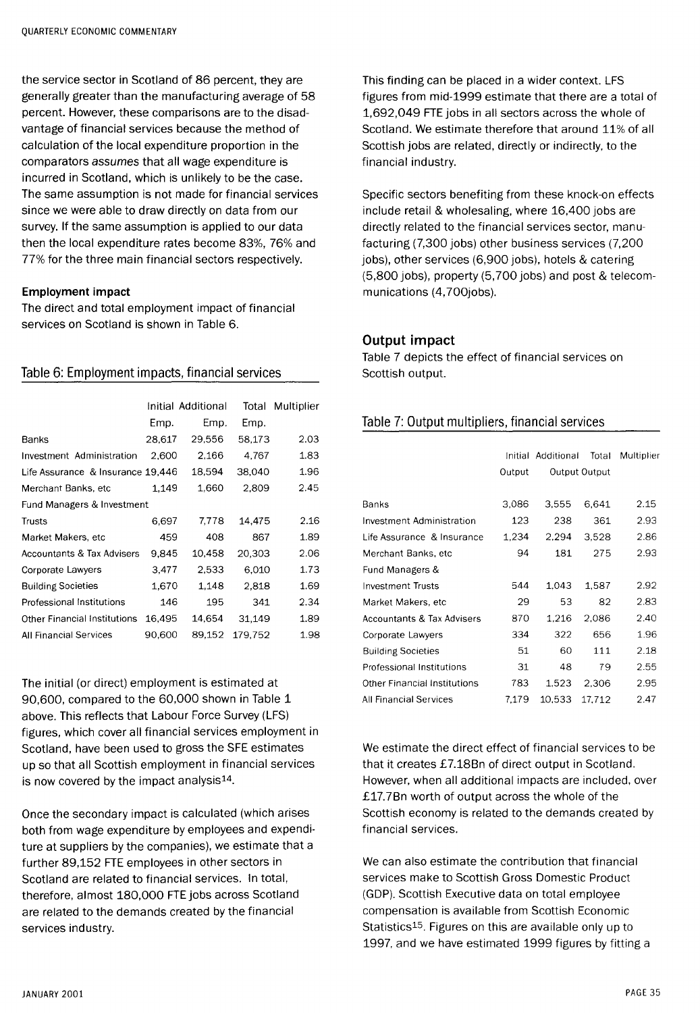the service sector in Scotland of 86 percent, they are generally greater than the manufacturing average of 58 percent. However, these comparisons are to the disadvantage of financial services because the method of calculation of the local expenditure proportion in the comparators assumes that all wage expenditure is incurred in Scotland, which is unlikely to be the case. The same assumption is not made for financial services since we were able to draw directly on data from our survey. If the same assumption is applied to our data then the local expenditure rates become 83%, 76% and 77% for the three main financial sectors respectively.

#### **Employment impact**

The direct and total employment impact of financial services on Scotland is shown in Table 6.

#### Table 6: Employment impacts, financial services

|                                       | Initial Additional |        | Total   | Multiplier |
|---------------------------------------|--------------------|--------|---------|------------|
|                                       | Emp.               | Emp.   | Emp.    |            |
| Banks                                 | 28.617             | 29,556 | 58,173  | 2.03       |
| Investment Administration             | 2,600              | 2.166  | 4,767   | 1.83       |
| Life Assurance & Insurance 19,446     |                    | 18,594 | 38,040  | 1.96       |
| Merchant Banks, etc                   | 1.149              | 1,660  | 2,809   | 2.45       |
| Fund Managers & Investment            |                    |        |         |            |
| Trusts                                | 6,697              | 7.778  | 14.475  | 2.16       |
| Market Makers, etc                    | 459                | 408    | 867     | 1.89       |
| <b>Accountants &amp; Tax Advisers</b> | 9,845              | 10,458 | 20,303  | 2.06       |
| Corporate Lawyers                     | 3,477              | 2,533  | 6,010   | 1.73       |
| <b>Building Societies</b>             | 1.670              | 1.148  | 2.818   | 1.69       |
| Professional Institutions             | 146                | 195    | 341     | 2.34       |
| Other Financial Institutions          | 16,495             | 14,654 | 31.149  | 1.89       |
| <b>All Financial Services</b>         | 90.600             | 89.152 | 179.752 | 1.98       |

The initial (or direct) employment is estimated at 90,600, compared to the 60,000 shown in Table 1 above. This reflects that Labour Force Survey (LFS) figures, which cover all financial services employment in Scotland, have been used to gross the SFE estimates up so that all Scottish employment in financial services is now covered by the impact analysis<sup>14</sup>.

Once the secondary impact is calculated (which arises both from wage expenditure by employees and expenditure at suppliers by the companies), we estimate that a further 89,152 FTE employees in other sectors in Scotland are related to financial services. In total, therefore, almost 180,000 FTE jobs across Scotland are related to the demands created by the financial services industry.

This finding can be placed in a wider context. LFS figures from mid-1999 estimate that there are a total of 1,692,049 FTE jobs in all sectors across the whole of Scotland. We estimate therefore that around 11% of all Scottish jobs are related, directly or indirectly, to the financial industry.

Specific sectors benefiting from these knock-on effects include retail & wholesaling, where 16,400 jobs are directly related to the financial services sector, manufacturing (7,300 jobs) other business services (7,200 jobs), other services (6,900 jobs), hotels & catering (5,800 jobs), property (5,700 jobs) and post & telecommunications (4,700jobs).

## **Output impact**

Table 7 depicts the effect of financial services on Scottish output.

# Table 7: Output multipliers, financial services

|                               | Initial | Additional | Total         | Multiplier |
|-------------------------------|---------|------------|---------------|------------|
|                               | Output  |            | Output Output |            |
|                               |         |            |               |            |
| Banks                         | 3.086   | 3.555      | 6.641         | 2.15       |
| Investment Administration     | 123     | 238        | 361           | 2.93       |
| Life Assurance & Insurance    | 1.234   | 2.294      | 3.528         | 2.86       |
| Merchant Banks, etc           | 94      | 181        | 275           | 2.93       |
| Fund Managers &               |         |            |               |            |
| <b>Investment Trusts</b>      | 544     | 1.043      | 1.587         | 2.92       |
| Market Makers, etc            | 29      | 53         | 82            | 2.83       |
| Accountants & Tax Advisers    | 870     | 1.216      | 2.086         | 2.40       |
| Corporate Lawyers             | 334     | 322        | 656           | 1.96       |
| <b>Building Societies</b>     | 51      | 60         | 111           | 2.18       |
| Professional Institutions     | 31      | 48         | 79            | 2.55       |
| Other Financial Institutions  | 783     | 1.523      | 2.306         | 2.95       |
| <b>All Financial Services</b> | 7.179   | 10.533     | 17.712        | 2.47       |

We estimate the direct effect of financial services to be that it creates £7.18Bn of direct output in Scotland. However, when all additional impacts are included, over £17.7Bn worth of output across the whole of the Scottish economy is related to the demands created by financial services.

We can also estimate the contribution that financial services make to Scottish Gross Domestic Product (GDP). Scottish Executive data on total employee compensation is available from Scottish Economic Statistics<sup>15</sup>. Figures on this are available only up to 1997, and we have estimated 1999 figures by fitting a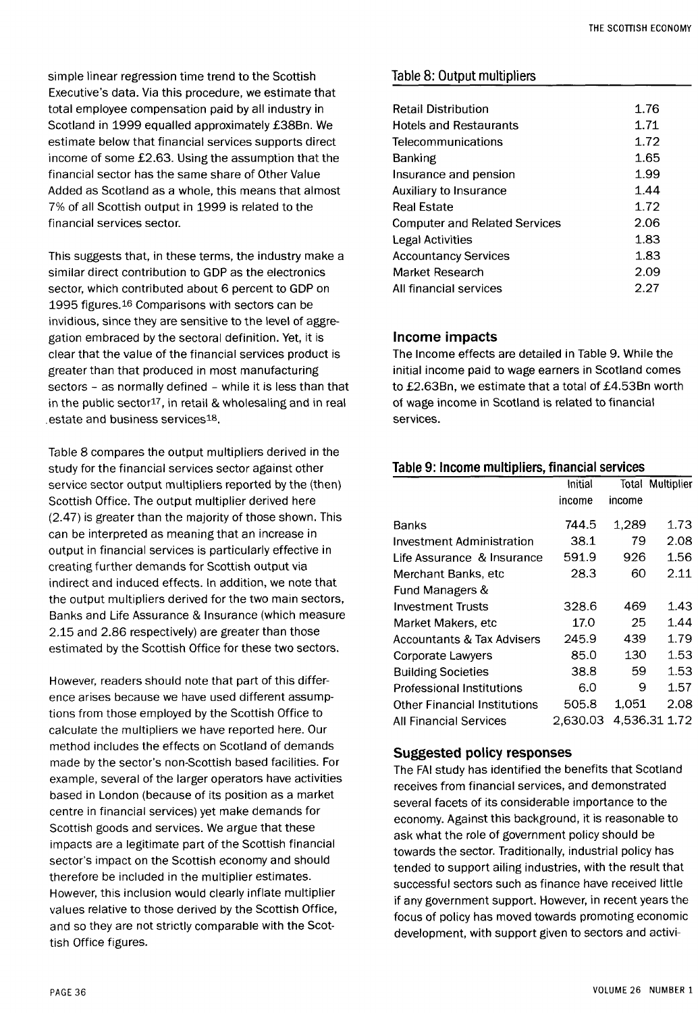simple linear regression time trend to the Scottish Executive's data. Via this procedure, we estimate that total employee compensation paid by all industry in Scotland in 1999 equalled approximately £38Bn. We estimate below that financial services supports direct income of some £2.63. Using the assumption that the financial sector has the same share of Other Value Added as Scotland as a whole, this means that almost 7% of all Scottish output in 1999 is related to the financial services sector.

This suggests that, in these terms, the industry make a similar direct contribution to GDP as the electronics sector, which contributed about 6 percent to GDP on 1995 figures.<sup>16</sup> Comparisons with sectors can be invidious, since they are sensitive to the level of aggregation embraced by the sectoral definition. Yet, it is clear that the value of the financial services product is greater than that produced in most manufacturing sectors - as normally defined - while it is less than that in the public sector<sup>17</sup>, in retail & wholesaling and in real estate and business services<sup>18</sup>.

Table 8 compares the output multipliers derived in the study for the financial services sector against other service sector output multipliers reported by the (then) Scottish Office. The output multiplier derived here (2.47) is greater than the majority of those shown. This can be interpreted as meaning that an increase in output in financial services is particularly effective in creating further demands for Scottish output via indirect and induced effects. In addition, we note that the output multipliers derived for the two main sectors, Banks and Life Assurance & Insurance (which measure 2.15 and 2.86 respectively) are greater than those estimated by the Scottish Office for these two sectors.

However, readers should note that part of this difference arises because we have used different assumptions from those employed by the Scottish Office to calculate the multipliers we have reported here. Our method includes the effects on Scotland of demands made by the sector's non-Scottish based facilities. For example, several of the larger operators have activities based in London (because of its position as a market centre in financial services) yet make demands for Scottish goods and services. We argue that these impacts are a legitimate part of the Scottish financial sector's impact on the Scottish economy and should therefore be included in the multiplier estimates. However, this inclusion would clearly inflate multiplier values relative to those derived by the Scottish Office, and so they are not strictly comparable with the Scottish Office figures.

## Table 8: Output multipliers

| <b>Retail Distribution</b>           | 1.76 |
|--------------------------------------|------|
| <b>Hotels and Restaurants</b>        | 1.71 |
| Telecommunications                   | 1.72 |
| <b>Banking</b>                       | 1.65 |
| Insurance and pension                | 1.99 |
| Auxiliary to Insurance               | 1.44 |
| <b>Real Estate</b>                   | 1.72 |
| <b>Computer and Related Services</b> | 2.06 |
| Legal Activities                     | 1.83 |
| <b>Accountancy Services</b>          | 1.83 |
| Market Research                      | 2.09 |
| All financial services               | 2.27 |
|                                      |      |

## **Inc**o**me impacts**

The Income effects are detailed in Table 9. While the initial income paid to wage earners in Scotland comes to £2.63Bn, we estimate that a total of £4.53Bn worth of wage income in Scotland is related to financial services.

## **Table 9: Income multipliers, financial services**

|                                       | Initial  | Total  | Multiplier    |
|---------------------------------------|----------|--------|---------------|
|                                       | income   | income |               |
| Banks                                 | 744.5    | 1,289  | 1.73          |
| Investment Administration             | 38.1     | 79     | 2.08          |
| Life Assurance & Insurance            | 591.9    | 926    | 1.56          |
| Merchant Banks, etc                   | 28.3     | 60     | 2.11          |
| Fund Managers &                       |          |        |               |
| <b>Investment Trusts</b>              | 328.6    | 469    | 1.43          |
| Market Makers, etc                    | 17.0     | 25     | 1.44          |
| <b>Accountants &amp; Tax Advisers</b> | 245.9    | 439    | 1.79          |
| Corporate Lawyers                     | 85.0     | 130    | 1.53          |
| <b>Building Societies</b>             | 38.8     | 59     | 1.53          |
| Professional Institutions             | 6.0      | 9      | 1.57          |
| <b>Other Financial Institutions</b>   | 505.8    | 1.051  | 2.08          |
| All Financial Services                | 2.630.03 |        | 4.536.31 1.72 |

## **Suggested p**o**li**c**y resp**o**nses**

The FAI study has identified the benefits that Scotland receives from financial services, and demonstrated several facets of its considerable importance to the economy. Against this background, it is reasonable to ask what the role of government policy should be towards the sector. Traditionally, industrial policy has tended to support ailing industries, with the result that successful sectors such as finance have received little if any government support. However, in recent years the focus of policy has moved towards promoting economic development, with support given to sectors and activi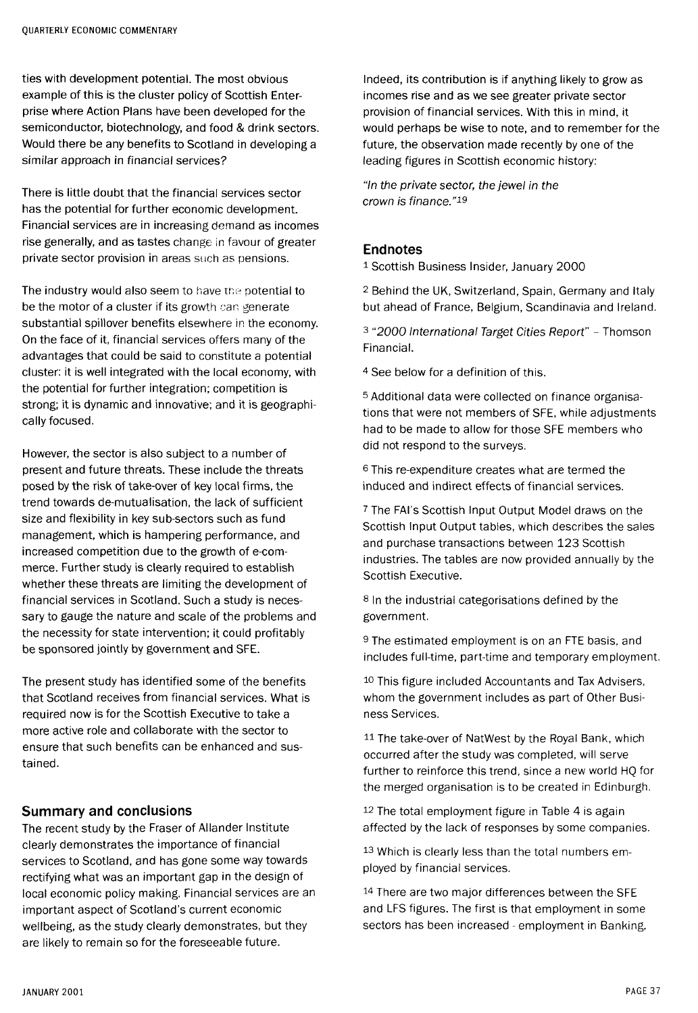ties with development potential. The most obvious example of this is the cluster policy of Scottish Enterprise where Action Plans have been developed for the semiconductor, biotechnology, and food & drink sectors. Would there be any benefits to Scotland in developing a similar approach in financial services?

There is little doubt that the financial services sector has the potential for further economic development. Financial services are in increasing demand as incomes rise generally, and as tastes change in favour of greater private sector provision in areas such as pensions.

The industry would also seem to have the potential to be the motor of a cluster if its growth can generate substantial spillover benefits elsewhere in the economy. On the face of it, financial services offers many of the advantages that could be said to constitute a potential cluster: it is well integrated with the local economy, with the potential for further integration; competition is strong; it is dynamic and innovative; and it is geographically focused.

However, the sector is also subject to a number of present and future threats. These include the threats posed by the risk of take-over of key local firms, the trend towards de-mutualisation, the lack of sufficient size and flexibility in key sub-sectors such as fund management, which is hampering performance, and increased competition due to the growth of e-commerce. Further study is clearly required to establish whether these threats are limiting the development of financial services in Scotland. Such a study is necessary to gauge the nature and scale of the problems and the necessity for state intervention; it could profitably be sponsored jointly by government and SFE.

The present study has identified some of the benefits that Scotland receives from financial services. What is required now is for the Scottish Executive to take a more active role and collaborate with the sector to ensure that such benefits can be enhanced and sustained.

#### Summary and conclusions

The recent study by the Fraser of Allander Institute clearly demonstrates the importance of financial services to Scotland, and has gone some way towards rectifying what was an important gap in the design of local economic policy making. Financial services are an important aspect of Scotland's current economic wellbeing, as the study clearly demonstrates, but they are likely to remain so for the foreseeable future.

Indeed, its contribution is if anything likely to grow as incomes rise and as we see greater private sector provision of financial services. With this in mind, it would perhaps be wise to note, and to remember for the future, the observation made recently by one of the leading figures in Scottish economic history:

"In the private sector, the jewel in the crown is finance."<sup>19</sup>

### Endnotes

1 Scottish Business Insider, January 2000

2 Behind the UK, Switzerland, Spain, Germany and Italy but ahead of France, Belgium, Scandinavia and Ireland.

3 "2000 International Target Cities Report" - Thomson Financial.

4 See below for a definition of this.

5 Additional data were collected on finance organisations that were not members of SFE, while adjustments had to be made to allow for those SFE members who did not respond to the surveys.

6 This re-expenditure creates what are termed the induced and indirect effects of financial services.

7 The FAI's Scottish Input Output Model draws on the Scottish Input Output tables, which describes the sales and purchase transactions between 123 Scottish industries. The tables are now provided annually by the Scottish Executive.

8 In the industrial categorisations defined by the government.

9 The estimated employment is on an FTE basis, and includes full-time, part-time and temporary employment.

10 This figure included Accountants and Tax Advisers, whom the government includes as part of Other Business Services.

<sup>11</sup> The take-over of NatWest by the Royal Bank, which occurred after the study was completed, will serve further to reinforce this trend, since a new world HQ for the merged organisation is to be created in Edinburgh.

12 The total employment figure in Table 4 is again affected by the lack of responses by some companies.

13 Which is clearly less than the total numbers employed by financial services.

<sup>14</sup> There are two major differences between the SFE and LFS figures. The first is that employment in some sectors has been increased - employment in Banking,